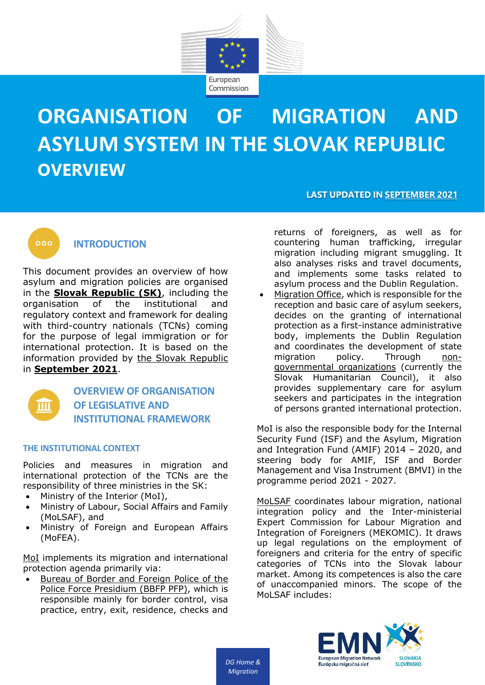

# **ORGANISATION OF MIGRATION AND ASYLUM SYSTEM IN THE SLOVAK REPUBLIC OVERVIEW**

**LAST UPDATED IN SEPTEMBER 2021**



## **INTRODUCTION**

This document provides an overview of how asylum and migration policies are organised in the **Slovak Republic (SK)**, including the organisation of the institutional and regulatory context and framework for dealing with third-country nationals (TCNs) coming for the purpose of legal immigration or for international protection. It is based on the information provided by the Slovak Republic in **September 2021**.



## **OVERVIEW OF ORGANISATION OF LEGISLATIVE AND INSTITUTIONAL FRAMEWORK**

## **THE INSTITUTIONAL CONTEXT**

Policies and measures in migration and international protection of the TCNs are the responsibility of three ministries in the SK:

- Ministry of the Interior (MoI),
- Ministry of Labour, Social Affairs and Family (MoLSAF), and
- Ministry of Foreign and European Affairs (MoFEA).

MoI implements its migration and international protection agenda primarily via:

• Bureau of Border and Foreign Police of the Police Force Presidium (BBFP PFP), which is responsible mainly for border control, visa practice, entry, exit, residence, checks and

returns of foreigners, as well as for countering human trafficking, irregular migration including migrant smuggling. It also analyses risks and travel documents, and implements some tasks related to asylum process and the Dublin Regulation.

• Migration Office, which is responsible for the reception and basic care of asylum seekers, decides on the granting of international protection as a first-instance administrative body, implements the Dublin Regulation and coordinates the development of state<br>migration policy. Through nonmigration policy. Through nongovernmental organizations (currently the Slovak Humanitarian Council), it also provides supplementary care for asylum seekers and participates in the integration of persons granted international protection.

MoI is also the responsible body for the Internal Security Fund (ISF) and the Asylum, Migration and Integration Fund (AMIF) 2014 – 2020, and steering body for AMIF, ISF and Border Management and Visa Instrument (BMVI) in the programme period 2021 - 2027.

MoLSAF coordinates labour migration, national integration policy and the Inter-ministerial Expert Commission for Labour Migration and Integration of Foreigners (MEKOMIC). It draws up legal regulations on the employment of foreigners and criteria for the entry of specific categories of TCNs into the Slovak labour market. Among its competences is also the care of unaccompanied minors. The scope of the MoLSAF includes:



*DG Home & Migration*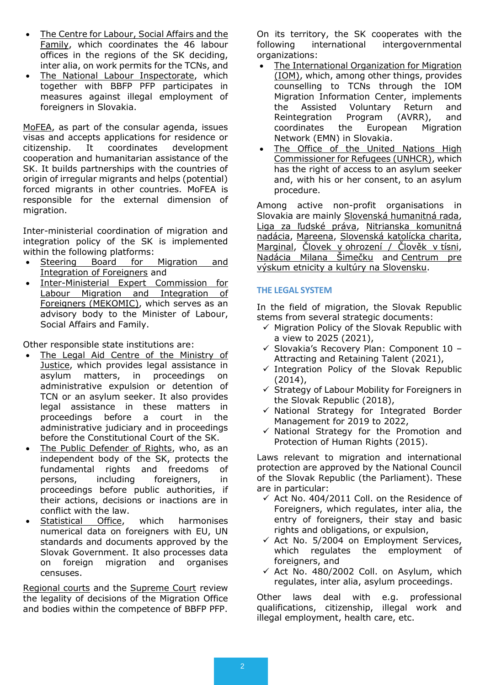- The Centre for Labour, Social Affairs and the Family, which coordinates the 46 labour offices in the regions of the SK deciding, inter alia, on work permits for the TCNs, and
- The National Labour Inspectorate, which together with BBFP PFP participates in measures against illegal employment of foreigners in Slovakia.

MoFEA, as part of the consular agenda, issues visas and accepts applications for residence or citizenship. It coordinates development cooperation and humanitarian assistance of the SK. It builds partnerships with the countries of origin of irregular migrants and helps (potential) forced migrants in other countries. MoFEA is responsible for the external dimension of migration.

Inter-ministerial coordination of migration and integration policy of the SK is implemented within the following platforms:

- Steering Board for Migration and Integration of Foreigners and
- Inter-Ministerial Expert Commission for Labour Migration and Integration of Foreigners (MEKOMIC), which serves as an advisory body to the Minister of Labour, Social Affairs and Family.

Other responsible state institutions are:

- The Legal Aid Centre of the Ministry of Justice, which provides legal assistance in asylum matters, in proceedings on administrative expulsion or detention of TCN or an asylum seeker. It also provides legal assistance in these matters in proceedings before a court in the administrative judiciary and in proceedings before the Constitutional Court of the SK.
- The Public Defender of Rights, who, as an independent body of the SK, protects the fundamental rights and freedoms of persons, including foreigners, in proceedings before public authorities, if their actions, decisions or inactions are in conflict with the law.
- Statistical Office, which harmonises numerical data on foreigners with EU, UN standards and documents approved by the Slovak Government. It also processes data on foreign migration and organises censuses.

Regional courts and the Supreme Court review the legality of decisions of the Migration Office and bodies within the competence of BBFP PFP. On its territory, the SK cooperates with the following international intergovernmental organizations:

- The International Organization for Migration (IOM), which, among other things, provides counselling to TCNs through the IOM Migration Information Center, implements the Assisted Voluntary Return and Reintegration Program (AVRR), and coordinates the European Migration Network (EMN) in Slovakia.
- The Office of the United Nations High Commissioner for Refugees (UNHCR), which has the right of access to an asylum seeker and, with his or her consent, to an asylum procedure.

Among active non-profit organisations in Slovakia are mainly Slovenská humanitná rada, Liga za ľudské práva, Nitrianska komunitná nadácia, Mareena, Slovenská katolícka charita, Marginal, Človek v ohrození / Člověk v tísni, Nadácia Milana Šimečku and Centrum pre výskum etnicity a kultúry na Slovensku.

## **THE LEGAL SYSTEM**

In the field of migration, the Slovak Republic stems from several strategic documents:

- ✓ Migration Policy of the Slovak Republic with a view to 2025 (2021),
- $\checkmark$  Slovakia's Recovery Plan: Component 10 -Attracting and Retaining Talent (2021),
- $\checkmark$  Integration Policy of the Slovak Republic (2014),
- $\checkmark$  Strategy of Labour Mobility for Foreigners in the Slovak Republic (2018),
- ✓ National Strategy for Integrated Border Management for 2019 to 2022,
- $\checkmark$  National Strategy for the Promotion and Protection of Human Rights (2015).

Laws relevant to migration and international protection are approved by the National Council of the Slovak Republic (the Parliament). These are in particular:

- $\checkmark$  Act No. 404/2011 Coll. on the Residence of Foreigners, which regulates, inter alia, the entry of foreigners, their stay and basic rights and obligations, or expulsion,
- $\times$  Act No. 5/2004 on Employment Services, which regulates the employment of foreigners, and
- $\checkmark$  Act No. 480/2002 Coll. on Asylum, which regulates, inter alia, asylum proceedings.

Other laws deal with e.g. professional qualifications, citizenship, illegal work and illegal employment, health care, etc.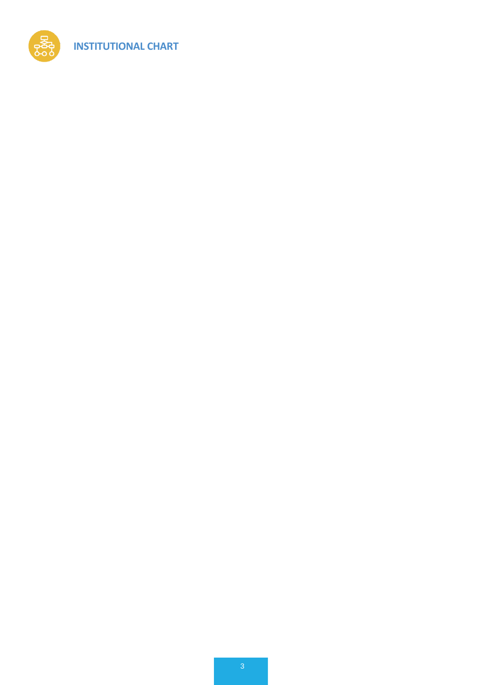

**INSTITUTIONAL CHART**